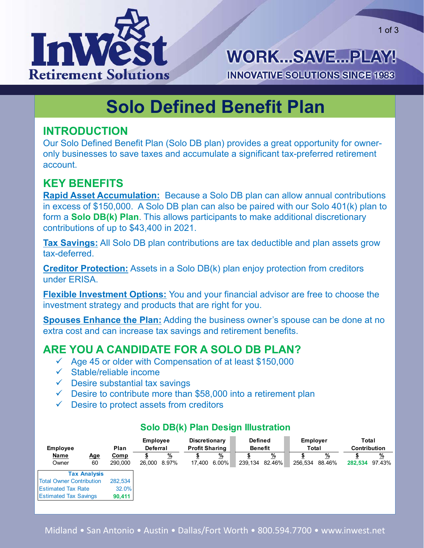

# **Solo Defined Benefit Plan**

## **INTRODUCTION**

Our Solo Defined Benefit Plan (Solo DB plan) provides a great opportunity for owneronly businesses to save taxes and accumulate a significant tax-preferred retirement account.

## **KEY BENEFITS**

**Rapid Asset Accumulation:** Because a Solo DB plan can allow annual contributions in excess of \$150,000. A Solo DB plan can also be paired with our Solo 401(k) plan to form a **Solo DB(k) Plan**. This allows participants to make additional discretionary contributions of up to \$43,400 in 2021.

**Tax Savings:** All Solo DB plan contributions are tax deductible and plan assets grow tax-deferred.

**Creditor Protection:** Assets in a Solo DB(k) plan enjoy protection from creditors under ERISA.

**Flexible Investment Options:** You and your financial advisor are free to choose the investment strategy and products that are right for you.

**Spouses Enhance the Plan:** Adding the business owner's spouse can be done at no extra cost and can increase tax savings and retirement benefits.

## **ARE YOU A CANDIDATE FOR A SOLO DB PLAN?**

- $\checkmark$  Age 45 or older with Compensation of at least \$150,000
- $\checkmark$  Stable/reliable income
- $\checkmark$  Desire substantial tax savings
- $\checkmark$  Desire to contribute more than \$58,000 into a retirement plan
- $\checkmark$  Desire to protect assets from creditors

| <b>Employee</b>                 |           | Plan            | <b>Employee</b><br>Deferral |                   | Discretionary<br><b>Profit Sharing</b> |                      | <b>Defined</b><br><b>Benefit</b> |                         | <b>Employer</b><br>Total |                    | Total<br><b>Contribution</b> |             |
|---------------------------------|-----------|-----------------|-----------------------------|-------------------|----------------------------------------|----------------------|----------------------------------|-------------------------|--------------------------|--------------------|------------------------------|-------------|
| Name<br>Owner                   | Age<br>60 | Comp<br>290,000 | \$<br>26,000                | <u>%</u><br>8.97% | 17,400                                 | <u>%</u><br>$6.00\%$ | 239,134                          | $\frac{9}{6}$<br>82.46% | 256,534                  | <u>%</u><br>88.46% | 282,534                      | %<br>97.43% |
| <b>Tax Analysis</b>             |           |                 |                             |                   |                                        |                      |                                  |                         |                          |                    |                              |             |
| <b>Total Owner Contribution</b> |           | 282.534         |                             |                   |                                        |                      |                                  |                         |                          |                    |                              |             |
| <b>Estimated Tax Rate</b>       |           | 32.0%           |                             |                   |                                        |                      |                                  |                         |                          |                    |                              |             |
| <b>Estimated Tax Savings</b>    |           | 90,411          |                             |                   |                                        |                      |                                  |                         |                          |                    |                              |             |

## **Solo DB(k) Plan Design Illustration**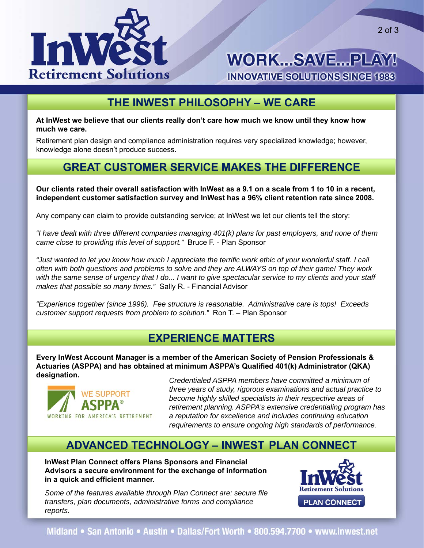

## **THE INWEST PHILOSOPHY – WE CARE**

**At InWest we believe that our clients really don't care how much we know until they know how much we care.**

Retirement plan design and compliance administration requires very specialized knowledge; however, knowledge alone doesn't produce success.

## **GREAT CUSTOMER SERVICE MAKES THE DIFFERENCE**

**Our clients rated their overall satisfaction with InWest as a 9.1 on a scale from 1 to 10 in a recent, independent customer satisfaction survey and InWest has a 96% client retention rate since 2008.**

Any company can claim to provide outstanding service; at InWest we let our clients tell the story:

*"I have dealt with three different companies managing 401(k) plans for past employers, and none of them came close to providing this level of support."* Bruce F. - Plan Sponsor

*"Just wanted to let you know how much I appreciate the terrific work ethic of your wonderful staff. I call often with both questions and problems to solve and they are ALWAYS on top of their game! They work*  with the same sense of urgency that I do... I want to give spectacular service to my clients and your staff *makes that possible so many times."* Sally R. - Financial Advisor

*"Experience together (since 1996). Fee structure is reasonable. Administrative care is tops! Exceeds customer support requests from problem to solution."* Ron T. – Plan Sponsor

### **EXPERIENCE MATTERS**

**Every InWest Account Manager is a member of the American Society of Pension Professionals & Actuaries (ASPPA) and has obtained at minimum ASPPA's Qualified 401(k) Administrator (QKA) designation.** *Credentialed ASPPA members have committed a minimum of* 



*three years of study, rigorous examinations and actual practice to become highly skilled specialists in their respective areas of retirement planning. ASPPA's extensive credentialing program has a reputation for excellence and includes continuing education requirements to ensure ongoing high standards of performance.*

## **ADVANCED TECHNOLOGY – INWEST PLAN CONNECT**

**InWest Plan Connect offers Plans Sponsors and Financial Advisors a secure environment for the exchange of information in a quick and efficient manner.**

*Some of the features available through Plan Connect are: secure file transfers, plan documents, administrative forms and compliance reports.*